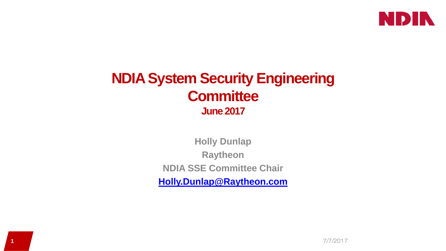

## **NDIA System Security Engineering Committee June 2017**

**Holly Dunlap Raytheon NDIA SSE Committee Chair [Holly.Dunlap@Raytheon.com](mailto:Holly.Dunlap@Raytheon.com)**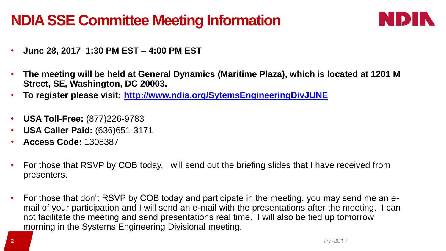## **NDIA SSE Committee Meeting Information**



- **June 28, 2017 1:30 PM EST – 4:00 PM EST**
- **The meeting will be held at General Dynamics (Maritime Plaza), which is located at 1201 M Street, SE, Washington, DC 20003.**
- **To register please visit: <http://www.ndia.org/SytemsEngineeringDivJUNE>**
- **USA Toll-Free:** (877)226-9783
- **USA Caller Paid:** (636)651-3171
- **Access Code:** 1308387
- For those that RSVP by COB today, I will send out the briefing slides that I have received from presenters.
- For those that don't RSVP by COB today and participate in the meeting, you may send me an email of your participation and I will send an e-mail with the presentations after the meeting. I can not facilitate the meeting and send presentations real time. I will also be tied up tomorrow morning in the Systems Engineering Divisional meeting.